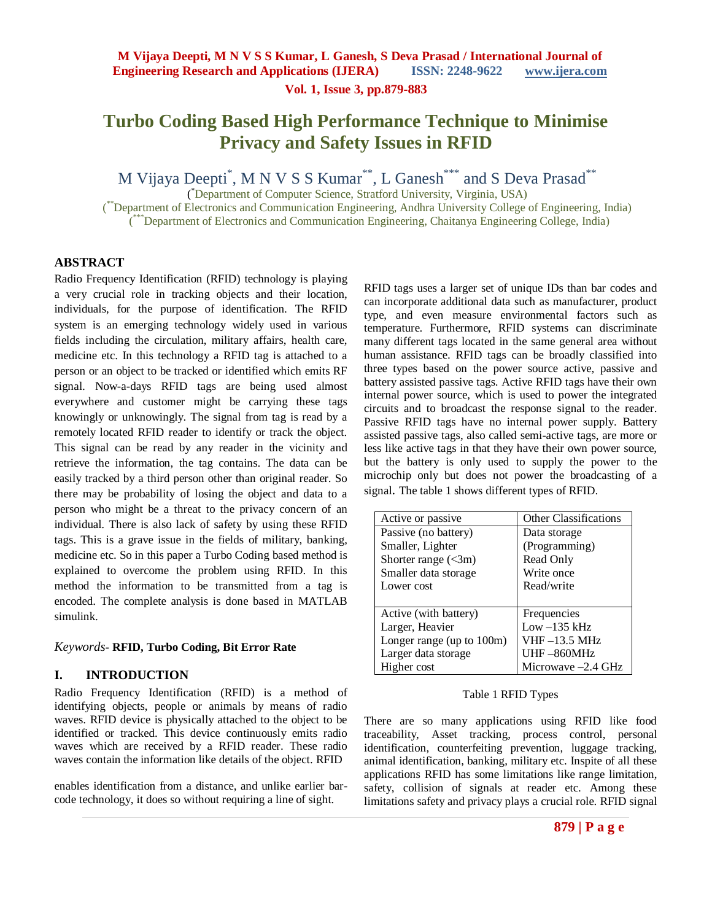### **Vol. 1, Issue 3, pp.879-883**

# **Turbo Coding Based High Performance Technique to Minimise Privacy and Safety Issues in RFID**

M Vijaya Deepti<sup>\*</sup>, M N V S S Kumar<sup>\*\*</sup>, L Ganesh<sup>\*\*\*</sup> and S Deva Prasad<sup>\*\*</sup>

( \*Department of Computer Science, Stratford University, Virginia, USA)

<sup>\*\*</sup>Department of Electronics and Communication Engineering, Andhra University College of Engineering, India) ( \*\*\*Department of Electronics and Communication Engineering, Chaitanya Engineering College, India)

### **ABSTRACT**

Radio Frequency Identification (RFID) technology is playing a very crucial role in tracking objects and their location, individuals, for the purpose of identification. The RFID system is an emerging technology widely used in various fields including the circulation, military affairs, health care, medicine etc. In this technology a RFID tag is attached to a person or an object to be tracked or identified which emits RF signal. Now-a-days RFID tags are being used almost everywhere and customer might be carrying these tags knowingly or unknowingly. The signal from tag is read by a remotely located RFID reader to identify or track the object. This signal can be read by any reader in the vicinity and retrieve the information, the tag contains. The data can be easily tracked by a third person other than original reader. So there may be probability of losing the object and data to a person who might be a threat to the privacy concern of an individual. There is also lack of safety by using these RFID tags. This is a grave issue in the fields of military, banking, medicine etc. So in this paper a Turbo Coding based method is explained to overcome the problem using RFID. In this method the information to be transmitted from a tag is encoded. The complete analysis is done based in MATLAB simulink.

#### *Keywords-* **RFID, Turbo Coding, Bit Error Rate**

### **I. INTRODUCTION**

Radio Frequency Identification (RFID) is a method of identifying objects, people or animals by means of radio waves. RFID device is physically attached to the object to be identified or tracked. This device continuously emits radio waves which are received by a RFID reader. These radio waves contain the information like details of the object. RFID

enables identification from a distance, and unlike earlier barcode technology, it does so without requiring a line of sight.

RFID tags uses a larger set of unique IDs than bar codes and can incorporate additional data such as manufacturer, product type, and even measure environmental factors such as temperature. Furthermore, RFID systems can discriminate many different tags located in the same general area without human assistance. RFID tags can be broadly classified into three types based on the power source active, passive and battery assisted passive tags. Active RFID tags have their own internal power source, which is used to power the integrated circuits and to broadcast the response signal to the reader. Passive RFID tags have no internal power supply. Battery assisted passive tags, also called semi-active tags, are more or less like active tags in that they have their own power source, but the battery is only used to supply the power to the microchip only but does not power the broadcasting of a signal. The table 1 shows different types of RFID.

| Active or passive            | <b>Other Classifications</b> |
|------------------------------|------------------------------|
| Passive (no battery)         | Data storage                 |
| Smaller, Lighter             | (Programming)                |
| Shorter range $(3m)$         | Read Only                    |
| Smaller data storage         | Write once                   |
| Lower cost                   | Read/write                   |
|                              |                              |
| Active (with battery)        | Frequencies                  |
| Larger, Heavier              | $Low -135 kHz$               |
| Longer range (up to $100m$ ) | VHF –13.5 MHz                |
| Larger data storage          | UHF -860MHz                  |
| Higher cost                  | Microwave –2.4 GHz           |

#### Table 1 RFID Types

There are so many applications using RFID like food traceability, Asset tracking, process control, personal identification, counterfeiting prevention, luggage tracking, animal identification, banking, military etc. Inspite of all these applications RFID has some limitations like range limitation, safety, collision of signals at reader etc. Among these limitations safety and privacy plays a crucial role. RFID signal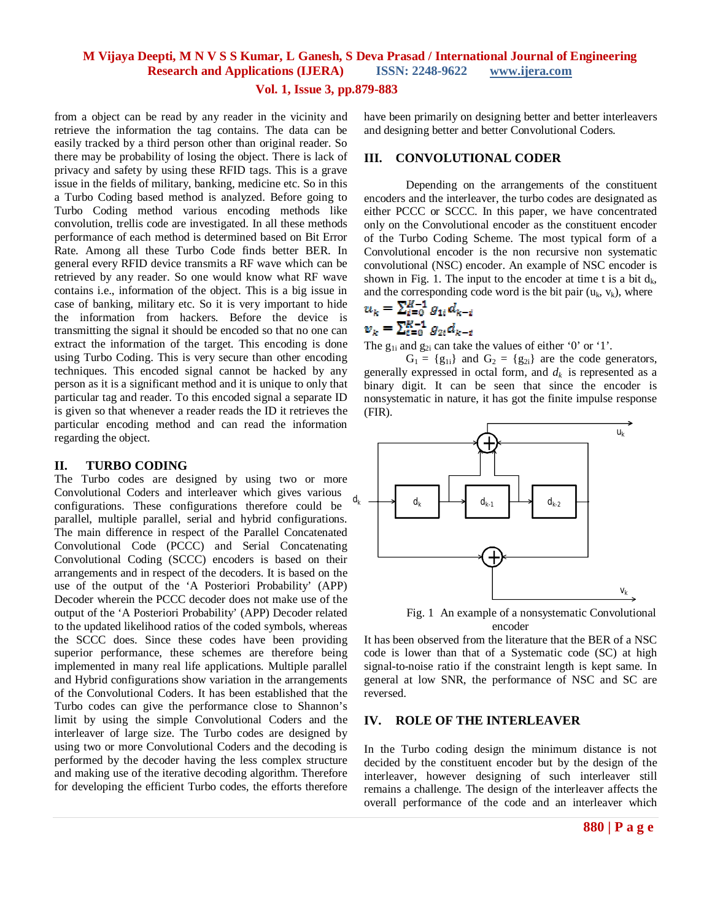#### **Vol. 1, Issue 3, pp.879-883**

from a object can be read by any reader in the vicinity and retrieve the information the tag contains. The data can be easily tracked by a third person other than original reader. So there may be probability of losing the object. There is lack of privacy and safety by using these RFID tags. This is a grave issue in the fields of military, banking, medicine etc. So in this a Turbo Coding based method is analyzed. Before going to Turbo Coding method various encoding methods like convolution, trellis code are investigated. In all these methods performance of each method is determined based on Bit Error Rate. Among all these Turbo Code finds better BER. In general every RFID device transmits a RF wave which can be retrieved by any reader. So one would know what RF wave contains i.e., information of the object. This is a big issue in case of banking, military etc. So it is very important to hide the information from hackers. Before the device is transmitting the signal it should be encoded so that no one can extract the information of the target. This encoding is done using Turbo Coding. This is very secure than other encoding techniques. This encoded signal cannot be hacked by any person as it is a significant method and it is unique to only that particular tag and reader. To this encoded signal a separate ID is given so that whenever a reader reads the ID it retrieves the particular encoding method and can read the information regarding the object.

#### **II. TURBO CODING**

The Turbo codes are designed by using two or more Convolutional Coders and interleaver which gives various configurations. These configurations therefore could be parallel, multiple parallel, serial and hybrid configurations. The main difference in respect of the Parallel Concatenated Convolutional Code (PCCC) and Serial Concatenating Convolutional Coding (SCCC) encoders is based on their arrangements and in respect of the decoders. It is based on the use of the output of the 'A Posteriori Probability' (APP) Decoder wherein the PCCC decoder does not make use of the output of the 'A Posteriori Probability' (APP) Decoder related to the updated likelihood ratios of the coded symbols, whereas the SCCC does. Since these codes have been providing superior performance, these schemes are therefore being implemented in many real life applications. Multiple parallel and Hybrid configurations show variation in the arrangements of the Convolutional Coders. It has been established that the Turbo codes can give the performance close to Shannon's limit by using the simple Convolutional Coders and the interleaver of large size. The Turbo codes are designed by using two or more Convolutional Coders and the decoding is performed by the decoder having the less complex structure and making use of the iterative decoding algorithm. Therefore for developing the efficient Turbo codes, the efforts therefore have been primarily on designing better and better interleavers and designing better and better Convolutional Coders.

#### **III. CONVOLUTIONAL CODER**

Depending on the arrangements of the constituent encoders and the interleaver, the turbo codes are designated as either PCCC or SCCC. In this paper, we have concentrated only on the Convolutional encoder as the constituent encoder of the Turbo Coding Scheme. The most typical form of a Convolutional encoder is the non recursive non systematic convolutional (NSC) encoder. An example of NSC encoder is shown in Fig. 1. The input to the encoder at time t is a bit  $d_k$ , and the corresponding code word is the bit pair  $(u_k, v_k)$ , where

$$
u_k = \sum_{i=0}^{n} g_{1i} a_{k-i}
$$
  

$$
v_k = \sum_{i=0}^{K-1} g_{2i} d_{k-i}
$$

The  $g_{1i}$  and  $g_{2i}$  can take the values of either '0' or '1'.

 $G_1 = \{g_{1i}\}\$ and  $G_2 = \{g_{2i}\}\$ are the code generators, generally expressed in octal form, and  $d_k$  is represented as a binary digit. It can be seen that since the encoder is nonsystematic in nature, it has got the finite impulse response (FIR).



Fig. 1 An example of a nonsystematic Convolutional encoder

It has been observed from the literature that the BER of a NSC code is lower than that of a Systematic code (SC) at high signal-to-noise ratio if the constraint length is kept same. In general at low SNR, the performance of NSC and SC are reversed.

#### **IV. ROLE OF THE INTERLEAVER**

In the Turbo coding design the minimum distance is not decided by the constituent encoder but by the design of the interleaver, however designing of such interleaver still remains a challenge. The design of the interleaver affects the overall performance of the code and an interleaver which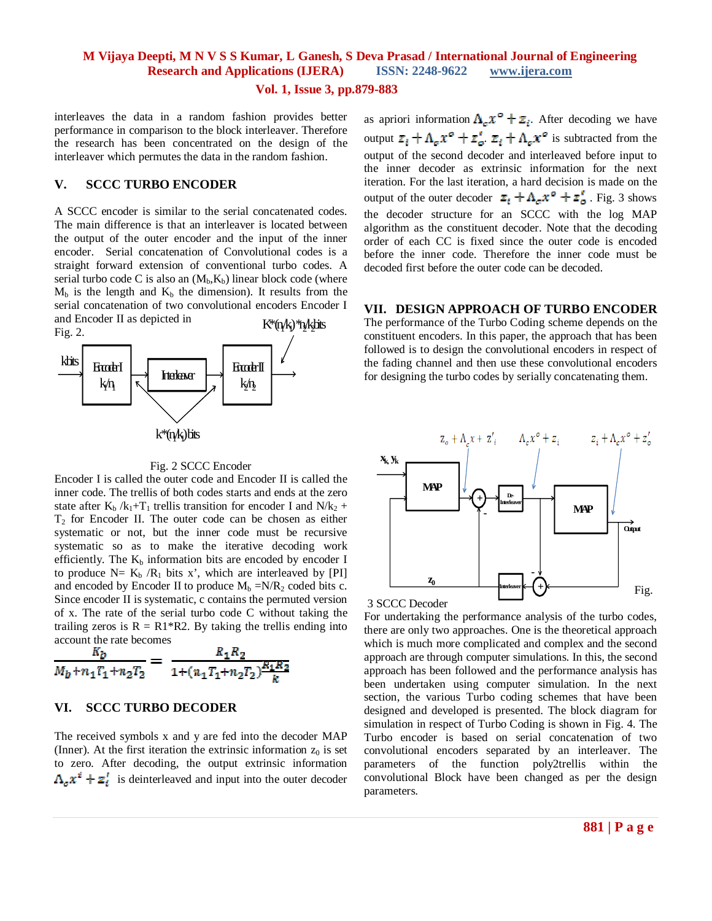**Vol. 1, Issue 3, pp.879-883**

interleaves the data in a random fashion provides better performance in comparison to the block interleaver. Therefore the research has been concentrated on the design of the interleaver which permutes the data in the random fashion.

### **V. SCCC TURBO ENCODER**

K\*(n/k) \*n/kJats A SCCC encoder is similar to the serial concatenated codes. The main difference is that an interleaver is located between the output of the outer encoder and the input of the inner encoder. Serial concatenation of Convolutional codes is a straight forward extension of conventional turbo codes. A serial turbo code C is also an  $(M_h, K_h)$  linear block code (where  $M_b$  is the length and  $K_b$  the dimension). It results from the serial concatenation of two convolutional encoders Encoder I and Encoder II as depicted in



#### Fig. 2 SCCC Encoder

Encoder I is called the outer code and Encoder II is called the inner code. The trellis of both codes starts and ends at the zero state after  $K_b / k_1 + T_1$  trellis transition for encoder I and  $N/k_2$  +  $T<sub>2</sub>$  for Encoder II. The outer code can be chosen as either systematic or not, but the inner code must be recursive systematic so as to make the iterative decoding work efficiently. The  $K_b$  information bits are encoded by encoder I to produce  $N= K_b / R_1$  bits x', which are interleaved by [PI] and encoded by Encoder II to produce  $M_b = N/R_2$  coded bits c. Since encoder II is systematic, c contains the permuted version of x. The rate of the serial turbo code C without taking the trailing zeros is  $R = R1*R2$ . By taking the trellis ending into account the rate becomes

$$
\frac{K_b}{M_b + n_1 T_1 + n_2 T_2} = \frac{R_1 R_2}{1 + (n_1 T_1 + n_2 T_2) \frac{R_1 R_2}{k}}
$$

#### **VI. SCCC TURBO DECODER**

The received symbols x and y are fed into the decoder MAP (Inner). At the first iteration the extrinsic information  $z_0$  is set to zero. After decoding, the output extrinsic information  $\Lambda_e x^i + z_i^i$  is deinterleaved and input into the outer decoder

as apriori information  $\Lambda_{\varepsilon} x^{\varepsilon} + z_i$ . After decoding we have output  $\mathbb{Z}_i + \Lambda_c \mathcal{X}^{\circ} + \mathbb{Z}'_c$ .  $\mathbb{Z}_i + \Lambda_c \mathcal{X}^{\circ}$  is subtracted from the output of the second decoder and interleaved before input to the inner decoder as extrinsic information for the next iteration. For the last iteration, a hard decision is made on the output of the outer decoder  $z_i + \Lambda_c x^o + z^r_o$ . Fig. 3 shows the decoder structure for an SCCC with the log MAP algorithm as the constituent decoder. Note that the decoding order of each CC is fixed since the outer code is encoded before the inner code. Therefore the inner code must be decoded first before the outer code can be decoded.

**VII. DESIGN APPROACH OF TURBO ENCODER** The performance of the Turbo Coding scheme depends on the constituent encoders. In this paper, the approach that has been followed is to design the convolutional encoders in respect of the fading channel and then use these convolutional encoders for designing the turbo codes by serially concatenating them.



3 SCCC Decoder

For undertaking the performance analysis of the turbo codes, there are only two approaches. One is the theoretical approach which is much more complicated and complex and the second approach are through computer simulations. In this, the second approach has been followed and the performance analysis has been undertaken using computer simulation. In the next section, the various Turbo coding schemes that have been designed and developed is presented. The block diagram for simulation in respect of Turbo Coding is shown in Fig. 4. The Turbo encoder is based on serial concatenation of two convolutional encoders separated by an interleaver. The parameters of the function poly2trellis within the convolutional Block have been changed as per the design parameters.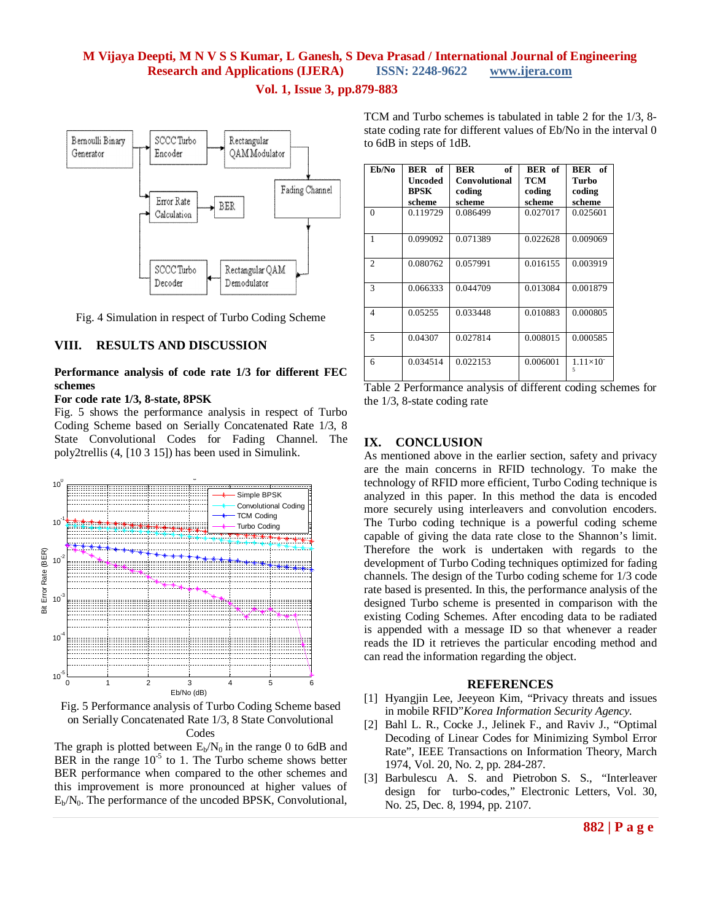



Fig. 4 Simulation in respect of Turbo Coding Scheme

### **VIII. RESULTS AND DISCUSSION**

#### **Performance analysis of code rate 1/3 for different FEC schemes**

#### **For code rate 1/3, 8-state, 8PSK**

Fig. 5 shows the performance analysis in respect of Turbo Coding Scheme based on Serially Concatenated Rate 1/3, 8 State Convolutional Codes for Fading Channel. The poly2trellis (4, [10 3 15]) has been used in Simulink.



Fig. 5 Performance analysis of Turbo Coding Scheme based on Serially Concatenated Rate 1/3, 8 State Convolutional Codes

The graph is plotted between  $E_b/N_0$  in the range 0 to 6dB and BER in the range  $10^{-5}$  to 1. The Turbo scheme shows better BER performance when compared to the other schemes and this improvement is more pronounced at higher values of  $E_b/N_0$ . The performance of the uncoded BPSK, Convolutional,

TCM and Turbo schemes is tabulated in table 2 for the 1/3, 8 state coding rate for different values of Eb/No in the interval 0 to 6dB in steps of 1dB.

| Eb/No          | BER of<br>Uncoded<br>BPSK<br>scheme | <b>BER</b><br>of<br><b>Convolutional</b><br>coding<br>scheme | BER of<br>тсм<br>coding<br>scheme | BER of<br>Turbo<br>coding<br>scheme |
|----------------|-------------------------------------|--------------------------------------------------------------|-----------------------------------|-------------------------------------|
| $\theta$       | 0.119729                            | 0.086499                                                     | 0.027017                          | 0.025601                            |
| 1              | 0.099092                            | 0.071389                                                     | 0.022628                          | 0.009069                            |
| $\overline{c}$ | 0.080762                            | 0.057991                                                     | 0.016155                          | 0.003919                            |
| $\mathbf{3}$   | 0.066333                            | 0.044709                                                     | 0.013084                          | 0.001879                            |
| 4              | 0.05255                             | 0.033448                                                     | 0.010883                          | 0.000805                            |
| 5              | 0.04307                             | 0.027814                                                     | 0.008015                          | 0.000585                            |
| 6              | 0.034514                            | 0.022153                                                     | 0.006001                          | $1.11\times10^{-7}$                 |



## **IX. CONCLUSION**

As mentioned above in the earlier section, safety and privacy are the main concerns in RFID technology. To make the technology of RFID more efficient, Turbo Coding technique is analyzed in this paper. In this method the data is encoded more securely using interleavers and convolution encoders. The Turbo coding technique is a powerful coding scheme capable of giving the data rate close to the Shannon's limit. Therefore the work is undertaken with regards to the development of Turbo Coding techniques optimized for fading channels. The design of the Turbo coding scheme for 1/3 code rate based is presented. In this, the performance analysis of the designed Turbo scheme is presented in comparison with the existing Coding Schemes. After encoding data to be radiated is appended with a message ID so that whenever a reader reads the ID it retrieves the particular encoding method and can read the information regarding the object.

#### **REFERENCES**

- [1] Hyangjin Lee, Jeeyeon Kim, "Privacy threats and issues in mobile RFID"*Korea Information Security Agency.*
- [2] Bahl L. R., Cocke J., Jelinek F., and Raviv J., "Optimal Decoding of Linear Codes for Minimizing Symbol Error Rate", IEEE Transactions on Information Theory, March 1974, Vol. 20, No. 2, pp. 284-287.
- [3] Barbulescu A. S. and Pietrobon S. S., "Interleaver design for turbo-codes," Electronic Letters, Vol. 30, No. 25, Dec. 8, 1994, pp. 2107.